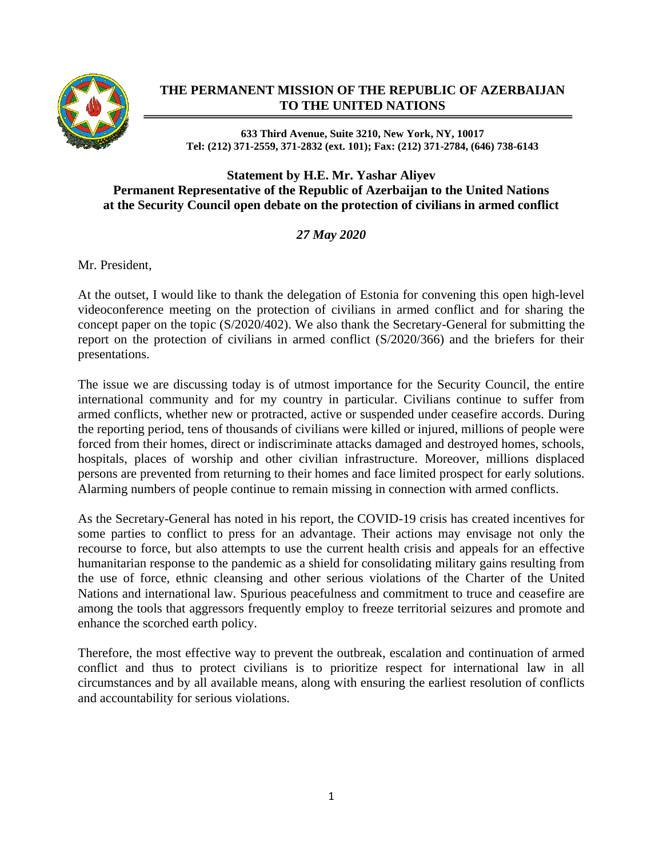

## **THE PERMANENT MISSION OF THE REPUBLIC OF AZERBAIJAN TO THE UNITED NATIONS**

## **633 Third Avenue, Suite 3210, New York, NY, 10017 Tel: (212) 371-2559, 371-2832 (ext. 101); Fax: (212) 371-2784, (646) 738-6143**

## **Statement by H.E. Mr. Yashar Aliyev Permanent Representative of the Republic of Azerbaijan to the United Nations at the Security Council open debate on the protection of civilians in armed conflict**

*27 May 2020*

Mr. President,

At the outset, I would like to thank the delegation of Estonia for convening this open high-level videoconference meeting on the protection of civilians in armed conflict and for sharing the concept paper on the topic (S/2020/402). We also thank the Secretary-General for submitting the report on the protection of civilians in armed conflict (S/2020/366) and the briefers for their presentations.

The issue we are discussing today is of utmost importance for the Security Council, the entire international community and for my country in particular. Civilians continue to suffer from armed conflicts, whether new or protracted, active or suspended under ceasefire accords. During the reporting period, tens of thousands of civilians were killed or injured, millions of people were forced from their homes, direct or indiscriminate attacks damaged and destroyed homes, schools, hospitals, places of worship and other civilian infrastructure. Moreover, millions displaced persons are prevented from returning to their homes and face limited prospect for early solutions. Alarming numbers of people continue to remain missing in connection with armed conflicts.

As the Secretary-General has noted in his report, the COVID-19 crisis has created incentives for some parties to conflict to press for an advantage. Their actions may envisage not only the recourse to force, but also attempts to use the current health crisis and appeals for an effective humanitarian response to the pandemic as a shield for consolidating military gains resulting from the use of force, ethnic cleansing and other serious violations of the Charter of the United Nations and international law. Spurious peacefulness and commitment to truce and ceasefire are among the tools that aggressors frequently employ to freeze territorial seizures and promote and enhance the scorched earth policy.

Therefore, the most effective way to prevent the outbreak, escalation and continuation of armed conflict and thus to protect civilians is to prioritize respect for international law in all circumstances and by all available means, along with ensuring the earliest resolution of conflicts and accountability for serious violations.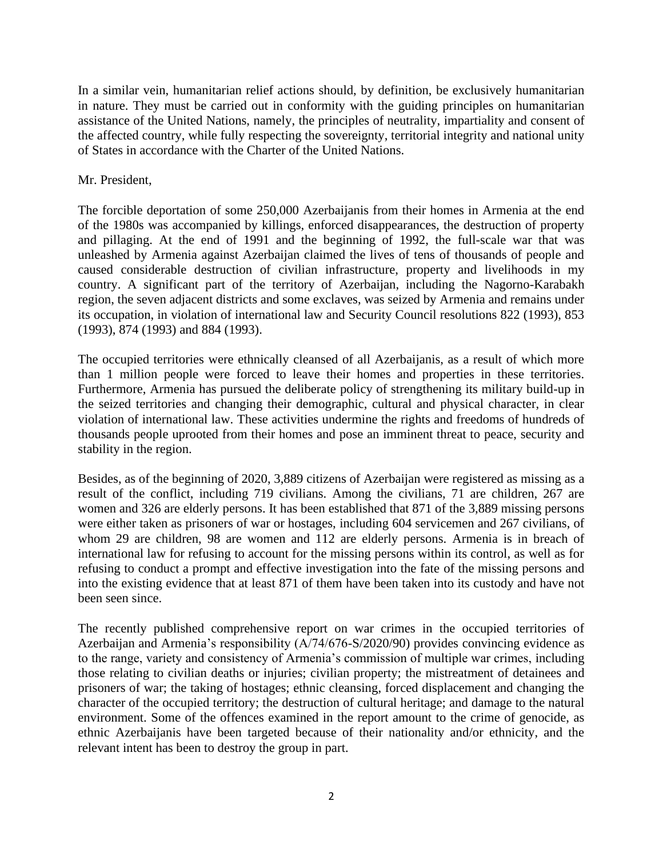In a similar vein, humanitarian relief actions should, by definition, be exclusively humanitarian in nature. They must be carried out in conformity with the guiding principles on humanitarian assistance of the United Nations, namely, the principles of neutrality, impartiality and consent of the affected country, while fully respecting the sovereignty, territorial integrity and national unity of States in accordance with the Charter of the United Nations.

## Mr. President,

The forcible deportation of some 250,000 Azerbaijanis from their homes in Armenia at the end of the 1980s was accompanied by killings, enforced disappearances, the destruction of property and pillaging. At the end of 1991 and the beginning of 1992, the full-scale war that was unleashed by Armenia against Azerbaijan claimed the lives of tens of thousands of people and caused considerable destruction of civilian infrastructure, property and livelihoods in my country. A significant part of the territory of Azerbaijan, including the Nagorno-Karabakh region, the seven adjacent districts and some exclaves, was seized by Armenia and remains under its occupation, in violation of international law and Security Council resolutions 822 (1993), 853 (1993), 874 (1993) and 884 (1993).

The occupied territories were ethnically cleansed of all Azerbaijanis, as a result of which more than 1 million people were forced to leave their homes and properties in these territories. Furthermore, Armenia has pursued the deliberate policy of strengthening its military build-up in the seized territories and changing their demographic, cultural and physical character, in clear violation of international law. These activities undermine the rights and freedoms of hundreds of thousands people uprooted from their homes and pose an imminent threat to peace, security and stability in the region.

Besides, as of the beginning of 2020, 3,889 citizens of Azerbaijan were registered as missing as a result of the conflict, including 719 civilians. Among the civilians, 71 are children, 267 are women and 326 are elderly persons. It has been established that 871 of the 3,889 missing persons were either taken as prisoners of war or hostages, including 604 servicemen and 267 civilians, of whom 29 are children, 98 are women and 112 are elderly persons. Armenia is in breach of international law for refusing to account for the missing persons within its control, as well as for refusing to conduct a prompt and effective investigation into the fate of the missing persons and into the existing evidence that at least 871 of them have been taken into its custody and have not been seen since.

The recently published comprehensive report on war crimes in the occupied territories of Azerbaijan and Armenia's responsibility (A/74/676-S/2020/90) provides convincing evidence as to the range, variety and consistency of Armenia's commission of multiple war crimes, including those relating to civilian deaths or injuries; civilian property; the mistreatment of detainees and prisoners of war; the taking of hostages; ethnic cleansing, forced displacement and changing the character of the occupied territory; the destruction of cultural heritage; and damage to the natural environment. Some of the offences examined in the report amount to the crime of genocide, as ethnic Azerbaijanis have been targeted because of their nationality and/or ethnicity, and the relevant intent has been to destroy the group in part.